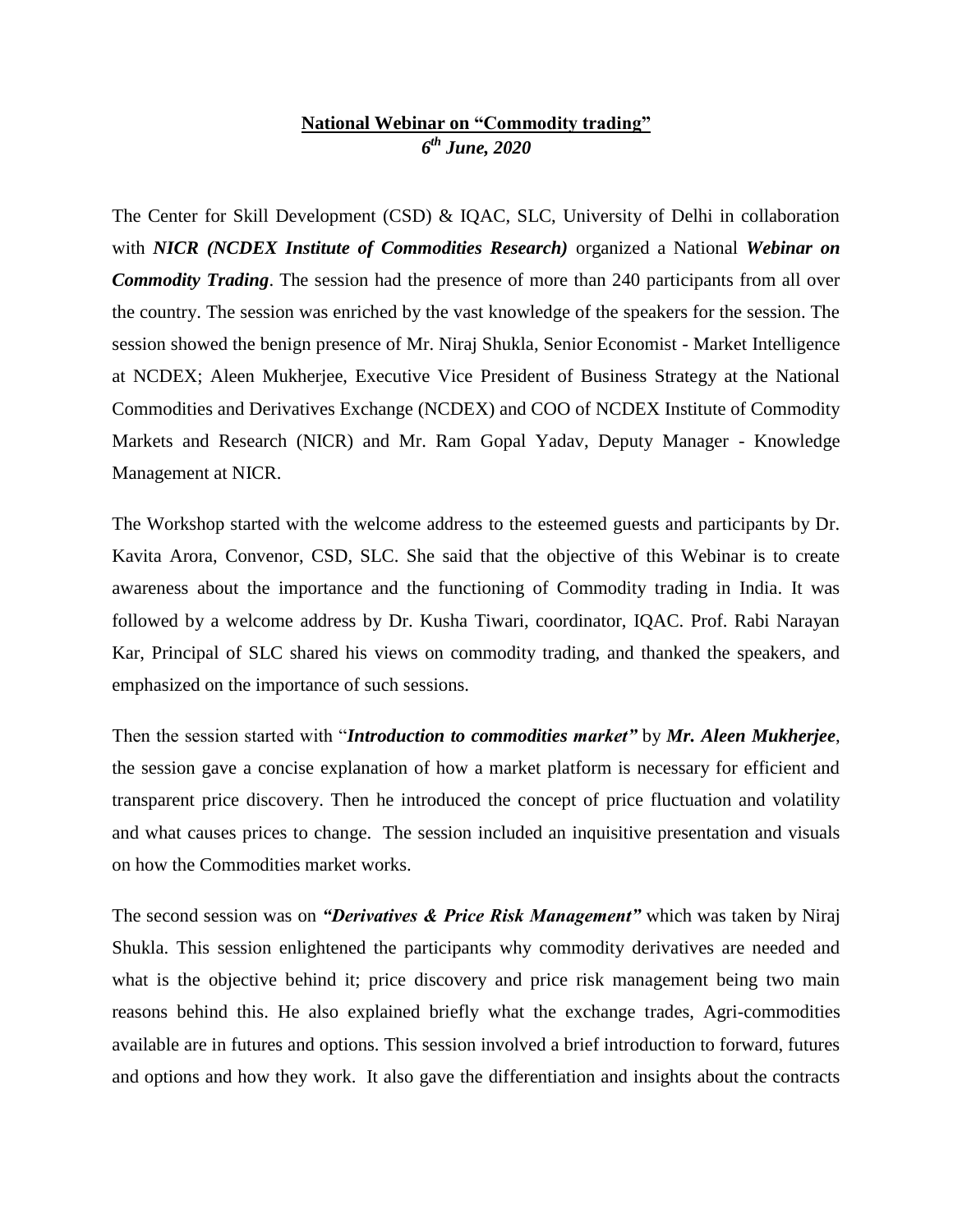## **National Webinar on "Commodity trading"** *6 th June, 2020*

The Center for Skill Development (CSD) & IQAC, SLC, University of Delhi in collaboration with *NICR (NCDEX Institute of Commodities Research)* organized a National *Webinar on Commodity Trading*. The session had the presence of more than 240 participants from all over the country. The session was enriched by the vast knowledge of the speakers for the session. The session showed the benign presence of Mr. Niraj Shukla, Senior Economist - Market Intelligence at NCDEX; Aleen Mukherjee, Executive Vice President of Business Strategy at the National Commodities and Derivatives Exchange (NCDEX) and COO of NCDEX Institute of Commodity Markets and Research (NICR) and Mr. Ram Gopal Yadav, Deputy Manager - Knowledge Management at NICR.

The Workshop started with the welcome address to the esteemed guests and participants by Dr. Kavita Arora, Convenor, CSD, SLC. She said that the objective of this Webinar is to create awareness about the importance and the functioning of Commodity trading in India. It was followed by a welcome address by Dr. Kusha Tiwari, coordinator, IQAC. Prof. Rabi Narayan Kar, Principal of SLC shared his views on commodity trading, and thanked the speakers, and emphasized on the importance of such sessions.

Then the session started with "*Introduction to commodities market"* by *Mr. Aleen Mukherjee*, the session gave a concise explanation of how a market platform is necessary for efficient and transparent price discovery. Then he introduced the concept of price fluctuation and volatility and what causes prices to change. The session included an inquisitive presentation and visuals on how the Commodities market works.

The second session was on *"Derivatives & Price Risk Management"* which was taken by Niraj Shukla. This session enlightened the participants why commodity derivatives are needed and what is the objective behind it; price discovery and price risk management being two main reasons behind this. He also explained briefly what the exchange trades, Agri-commodities available are in futures and options. This session involved a brief introduction to forward, futures and options and how they work. It also gave the differentiation and insights about the contracts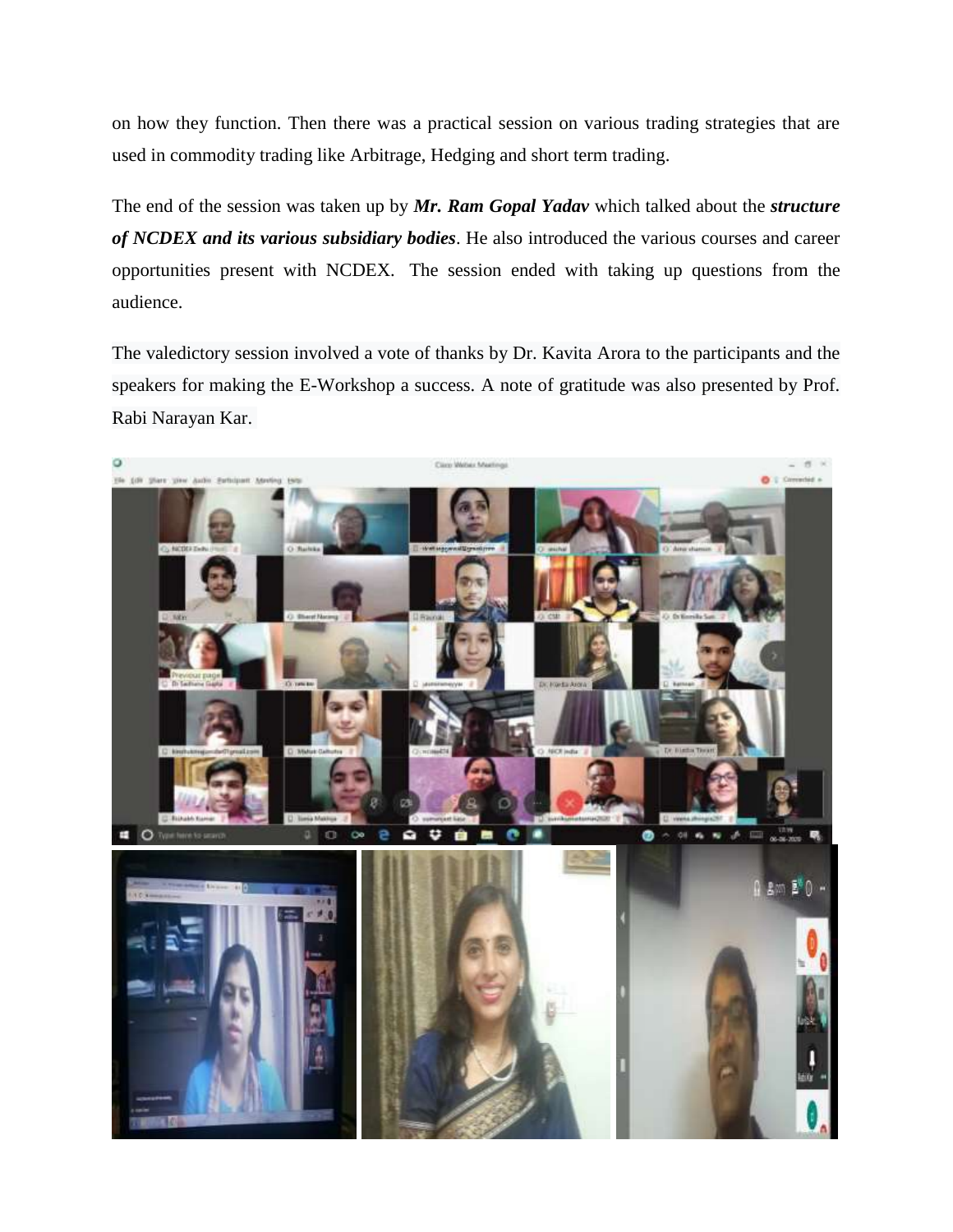on how they function. Then there was a practical session on various trading strategies that are used in commodity trading like Arbitrage, Hedging and short term trading.

The end of the session was taken up by *Mr. Ram Gopal Yadav* which talked about the *structure of NCDEX and its various subsidiary bodies*. He also introduced the various courses and career opportunities present with NCDEX. The session ended with taking up questions from the audience.

The valedictory session involved a vote of thanks by Dr. Kavita Arora to the participants and the speakers for making the E-Workshop a success. A note of gratitude was also presented by Prof. Rabi Narayan Kar.